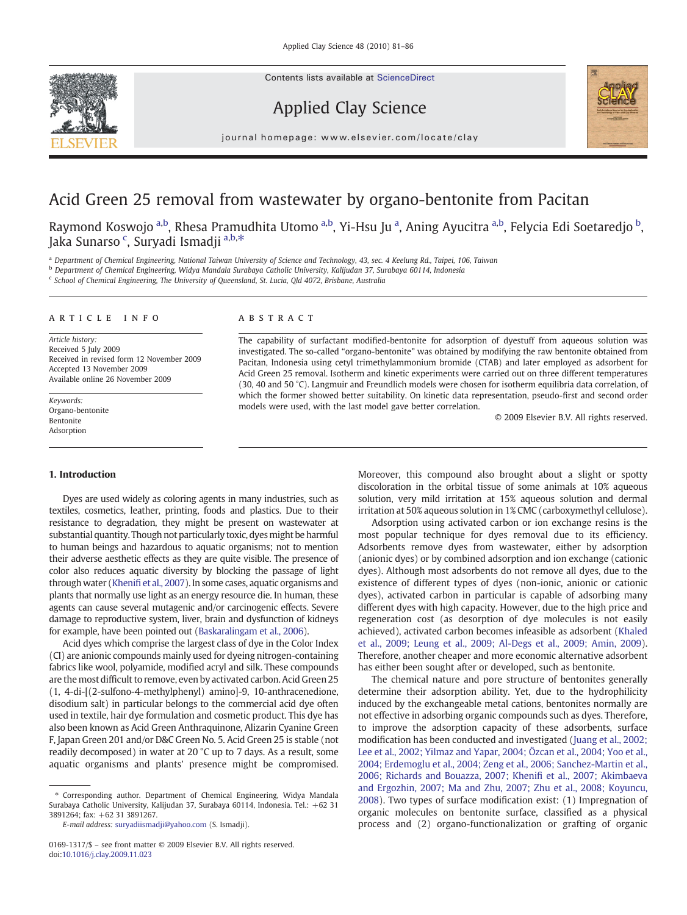Contents lists available at ScienceDirect







journal homepage: www.elsevier.com/locate/clay

# Acid Green 25 removal from wastewater by organo-bentonite from Pacitan

Raymond Koswojo <sup>a,b</sup>, Rhesa Pramudhita Utomo <sup>a,b</sup>, Yi-Hsu Ju <sup>a</sup>, Aning Ayucitra <sup>a,b</sup>, Felycia Edi Soetaredjo <sup>b</sup>, Jaka Sunarso <sup>c</sup>, Suryadi Ismadji <sup>a,b,</sup>\*

a Department of Chemical Engineering, National Taiwan University of Science and Technology, 43, sec. 4 Keelung Rd., Taipei, 106, Taiwan

<sup>b</sup> Department of Chemical Engineering, Widya Mandala Surabaya Catholic University, Kalijudan 37, Surabaya 60114, Indonesia

<sup>c</sup> School of Chemical Engineering, The University of Queensland, St. Lucia, Qld 4072, Brisbane, Australia

# article info abstract

Article history: Received 5 July 2009 Received in revised form 12 November 2009 Accepted 13 November 2009 Available online 26 November 2009

Keywords: Organo-bentonite Bentonite Adsorption

#### 1. Introduction

Dyes are used widely as coloring agents in many industries, such as textiles, cosmetics, leather, printing, foods and plastics. Due to their resistance to degradation, they might be present on wastewater at substantial quantity. Though not particularly toxic, dyes might be harmful to human beings and hazardous to aquatic organisms; not to mention their adverse aesthetic effects as they are quite visible. The presence of color also reduces aquatic diversity by blocking the passage of light through water (Khenifi [et al., 2007](#page-5-0)). In some cases, aquatic organisms and plants that normally use light as an energy resource die. In human, these agents can cause several mutagenic and/or carcinogenic effects. Severe damage to reproductive system, liver, brain and dysfunction of kidneys for example, have been pointed out [\(Baskaralingam et al., 2006\)](#page-5-0).

Acid dyes which comprise the largest class of dye in the Color Index (CI) are anionic compounds mainly used for dyeing nitrogen-containing fabrics like wool, polyamide, modified acryl and silk. These compounds are the most difficult to remove, even by activated carbon. Acid Green 25 (1, 4-di-[(2-sulfono-4-methylphenyl) amino]-9, 10-anthracenedione, disodium salt) in particular belongs to the commercial acid dye often used in textile, hair dye formulation and cosmetic product. This dye has also been known as Acid Green Anthraquinone, Alizarin Cyanine Green F, Japan Green 201 and/or D&C Green No. 5. Acid Green 25 is stable (not readily decomposed) in water at 20 °C up to 7 days. As a result, some aquatic organisms and plants' presence might be compromised.

The capability of surfactant modified-bentonite for adsorption of dyestuff from aqueous solution was investigated. The so-called "organo-bentonite" was obtained by modifying the raw bentonite obtained from Pacitan, Indonesia using cetyl trimethylammonium bromide (CTAB) and later employed as adsorbent for Acid Green 25 removal. Isotherm and kinetic experiments were carried out on three different temperatures (30, 40 and 50 °C). Langmuir and Freundlich models were chosen for isotherm equilibria data correlation, of which the former showed better suitability. On kinetic data representation, pseudo-first and second order models were used, with the last model gave better correlation.

© 2009 Elsevier B.V. All rights reserved.

Moreover, this compound also brought about a slight or spotty discoloration in the orbital tissue of some animals at 10% aqueous solution, very mild irritation at 15% aqueous solution and dermal irritation at 50% aqueous solution in 1% CMC (carboxymethyl cellulose).

Adsorption using activated carbon or ion exchange resins is the most popular technique for dyes removal due to its efficiency. Adsorbents remove dyes from wastewater, either by adsorption (anionic dyes) or by combined adsorption and ion exchange (cationic dyes). Although most adsorbents do not remove all dyes, due to the existence of different types of dyes (non-ionic, anionic or cationic dyes), activated carbon in particular is capable of adsorbing many different dyes with high capacity. However, due to the high price and regeneration cost (as desorption of dye molecules is not easily achieved), activated carbon becomes infeasible as adsorbent [\(Khaled](#page-5-0) [et al., 2009; Leung et al., 2009; Al-Degs et al., 2009; Amin, 2009](#page-5-0)). Therefore, another cheaper and more economic alternative adsorbent has either been sought after or developed, such as bentonite.

The chemical nature and pore structure of bentonites generally determine their adsorption ability. Yet, due to the hydrophilicity induced by the exchangeable metal cations, bentonites normally are not effective in adsorbing organic compounds such as dyes. Therefore, to improve the adsorption capacity of these adsorbents, surface modification has been conducted and investigated [\(Juang et al., 2002;](#page-5-0) [Lee et al., 2002; Yilmaz and Yapar, 2004; Özcan et al., 2004; Yoo et al.,](#page-5-0) [2004; Erdemoglu et al., 2004; Zeng et al., 2006; Sanchez-Martin et al.,](#page-5-0) [2006; Richards and Bouazza, 2007; Kheni](#page-5-0)fi et al., 2007; Akimbaeva [and Ergozhin, 2007; Ma and Zhu, 2007; Zhu et al., 2008; Koyuncu,](#page-5-0) [2008\)](#page-5-0). Two types of surface modification exist: (1) Impregnation of organic molecules on bentonite surface, classified as a physical process and (2) organo-functionalization or grafting of organic

<sup>⁎</sup> Corresponding author. Department of Chemical Engineering, Widya Mandala Surabaya Catholic University, Kalijudan 37, Surabaya 60114, Indonesia. Tel.: +62 31 3891264; fax: +62 31 3891267.

E-mail address: [suryadiismadji@yahoo.com](mailto:suryadiismadji@yahoo.com) (S. Ismadji).

<sup>0169-1317/\$</sup> – see front matter © 2009 Elsevier B.V. All rights reserved. doi:[10.1016/j.clay.2009.11.023](http://dx.doi.org/10.1016/j.clay.2009.11.023)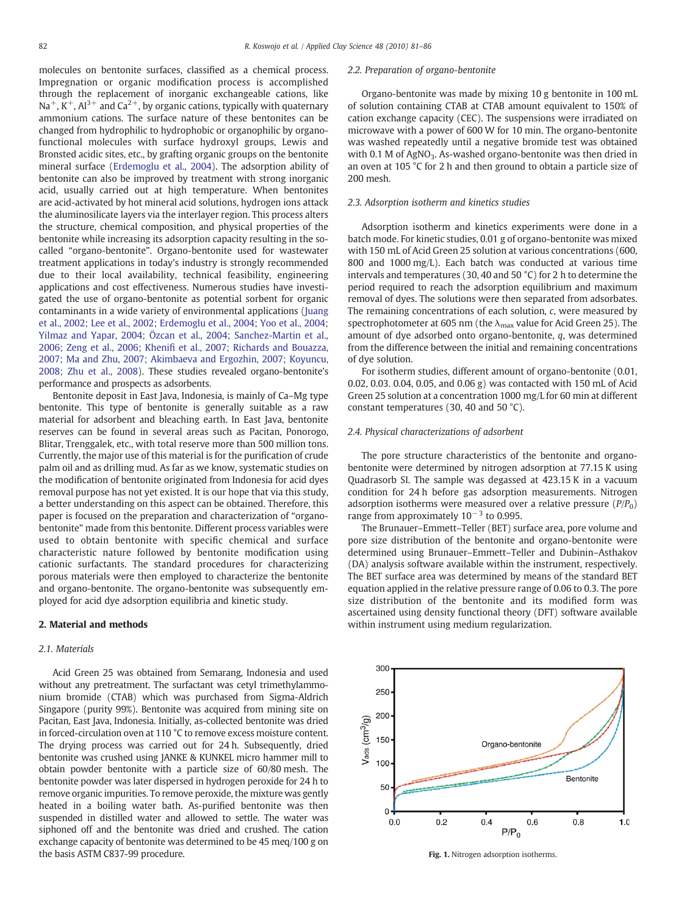<span id="page-1-0"></span>

molecules on bentonite surfaces, classified as a chemical process. Impregnation or organic modification process is accomplished through the replacement of inorganic exchangeable cations, like  $Na^+$ , K<sup>+</sup>, Al<sup>3+</sup> and Ca<sup>2+</sup>, by organic cations, typically with quaternary ammonium cations. The surface nature of these bentonites can be changed from hydrophilic to hydrophobic or organophilic by organofunctional molecules with surface hydroxyl groups, Lewis and Bronsted acidic sites, etc., by grafting organic groups on the bentonite mineral surface [\(Erdemoglu et al., 2004](#page-5-0)). The adsorption ability of bentonite can also be improved by treatment with strong inorganic acid, usually carried out at high temperature. When bentonites are acid-activated by hot mineral acid solutions, hydrogen ions attack the aluminosilicate layers via the interlayer region. This process alters the structure, chemical composition, and physical properties of the bentonite while increasing its adsorption capacity resulting in the socalled "organo-bentonite". Organo-bentonite used for wastewater treatment applications in today's industry is strongly recommended due to their local availability, technical feasibility, engineering applications and cost effectiveness. Numerous studies have investigated the use of organo-bentonite as potential sorbent for organic contaminants in a wide variety of environmental applications [\(Juang](#page-5-0) [et al., 2002; Lee et al., 2002; Erdemoglu et al., 2004; Yoo et al., 2004;](#page-5-0) [Yilmaz and Yapar, 2004; Özcan et al., 2004; Sanchez-Martin et al.,](#page-5-0) 2006; Zeng et al., 2006; Khenifi [et al., 2007; Richards and Bouazza,](#page-5-0) [2007; Ma and Zhu, 2007; Akimbaeva and Ergozhin, 2007; Koyuncu,](#page-5-0) [2008; Zhu et al., 2008\)](#page-5-0). These studies revealed organo-bentonite's performance and prospects as adsorbents.

Bentonite deposit in East Java, Indonesia, is mainly of Ca–Mg type bentonite. This type of bentonite is generally suitable as a raw material for adsorbent and bleaching earth. In East Java, bentonite reserves can be found in several areas such as Pacitan, Ponorogo, Blitar, Trenggalek, etc., with total reserve more than 500 million tons. Currently, the major use of this material is for the purification of crude palm oil and as drilling mud. As far as we know, systematic studies on the modification of bentonite originated from Indonesia for acid dyes removal purpose has not yet existed. It is our hope that via this study, a better understanding on this aspect can be obtained. Therefore, this paper is focused on the preparation and characterization of "organobentonite" made from this bentonite. Different process variables were used to obtain bentonite with specific chemical and surface characteristic nature followed by bentonite modification using cationic surfactants. The standard procedures for characterizing porous materials were then employed to characterize the bentonite and organo-bentonite. The organo-bentonite was subsequently employed for acid dye adsorption equilibria and kinetic study.

# 2. Material and methods

# 2.1. Materials

Acid Green 25 was obtained from Semarang, Indonesia and used without any pretreatment. The surfactant was cetyl trimethylammonium bromide (CTAB) which was purchased from Sigma-Aldrich Singapore (purity 99%). Bentonite was acquired from mining site on Pacitan, East Java, Indonesia. Initially, as-collected bentonite was dried in forced-circulation oven at 110 °C to remove excess moisture content. The drying process was carried out for 24 h. Subsequently, dried bentonite was crushed using JANKE & KUNKEL micro hammer mill to obtain powder bentonite with a particle size of 60/80 mesh. The bentonite powder was later dispersed in hydrogen peroxide for 24 h to remove organic impurities. To remove peroxide, the mixture was gently heated in a boiling water bath. As-purified bentonite was then suspended in distilled water and allowed to settle. The water was siphoned off and the bentonite was dried and crushed. The cation exchange capacity of bentonite was determined to be 45 meq/100 g on the basis ASTM C837-99 procedure.

# 2.2. Preparation of organo-bentonite

Organo-bentonite was made by mixing 10 g bentonite in 100 mL of solution containing CTAB at CTAB amount equivalent to 150% of cation exchange capacity (CEC). The suspensions were irradiated on microwave with a power of 600 W for 10 min. The organo-bentonite was washed repeatedly until a negative bromide test was obtained with 0.1 M of AgNO<sub>3</sub>. As-washed organo-bentonite was then dried in an oven at 105 °C for 2 h and then ground to obtain a particle size of 200 mesh.

# 2.3. Adsorption isotherm and kinetics studies

Adsorption isotherm and kinetics experiments were done in a batch mode. For kinetic studies, 0.01 g of organo-bentonite was mixed with 150 mL of Acid Green 25 solution at various concentrations (600, 800 and 1000 mg/L). Each batch was conducted at various time intervals and temperatures (30, 40 and 50 °C) for 2 h to determine the period required to reach the adsorption equilibrium and maximum removal of dyes. The solutions were then separated from adsorbates. The remaining concentrations of each solution, c, were measured by spectrophotometer at 605 nm (the  $\lambda_{\text{max}}$  value for Acid Green 25). The amount of dye adsorbed onto organo-bentonite, q, was determined from the difference between the initial and remaining concentrations of dye solution.

For isotherm studies, different amount of organo-bentonite (0.01, 0.02, 0.03. 0.04, 0.05, and 0.06 g) was contacted with 150 mL of Acid Green 25 solution at a concentration 1000 mg/L for 60 min at different constant temperatures (30, 40 and 50 °C).

# 2.4. Physical characterizations of adsorbent

The pore structure characteristics of the bentonite and organobentonite were determined by nitrogen adsorption at 77.15 K using Quadrasorb SI. The sample was degassed at 423.15 K in a vacuum condition for 24 h before gas adsorption measurements. Nitrogen adsorption isotherms were measured over a relative pressure  $(P/P_0)$ range from approximately  $10^{-3}$  to 0.995.

The Brunauer–Emmett–Teller (BET) surface area, pore volume and pore size distribution of the bentonite and organo-bentonite were determined using Brunauer–Emmett–Teller and Dubinin–Asthakov (DA) analysis software available within the instrument, respectively. The BET surface area was determined by means of the standard BET equation applied in the relative pressure range of 0.06 to 0.3. The pore size distribution of the bentonite and its modified form was ascertained using density functional theory (DFT) software available within instrument using medium regularization.



Fig. 1. Nitrogen adsorption isotherms.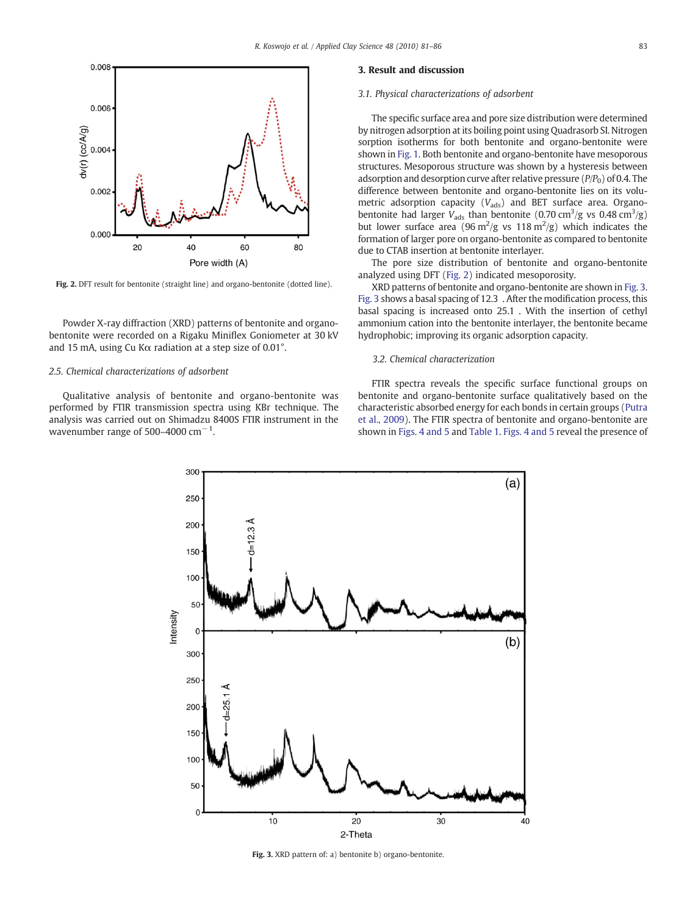

Fig. 2. DFT result for bentonite (straight line) and organo-bentonite (dotted line).

Powder X-ray diffraction (XRD) patterns of bentonite and organobentonite were recorded on a Rigaku Miniflex Goniometer at 30 kV and 15 mA, using Cu Kα radiation at a step size of 0.01°.

#### 2.5. Chemical characterizations of adsorbent

Qualitative analysis of bentonite and organo-bentonite was performed by FTIR transmission spectra using KBr technique. The analysis was carried out on Shimadzu 8400S FTIR instrument in the wavenumber range of 500–4000 cm $^{-1}$ .

# 3. Result and discussion

#### 3.1. Physical characterizations of adsorbent

The specific surface area and pore size distribution were determined by nitrogen adsorption at its boiling point using Quadrasorb SI. Nitrogen sorption isotherms for both bentonite and organo-bentonite were shown in [Fig. 1.](#page-1-0) Both bentonite and organo-bentonite have mesoporous structures. Mesoporous structure was shown by a hysteresis between adsorption and desorption curve after relative pressure  $(P/P<sub>0</sub>)$  of 0.4. The difference between bentonite and organo-bentonite lies on its volumetric adsorption capacity  $(V_{\text{ads}})$  and BET surface area. Organobentonite had larger  $V_{\text{ads}}$  than bentonite (0.70 cm<sup>3</sup>/g vs 0.48 cm<sup>3</sup>/g) but lower surface area (96 m<sup>2</sup>/g vs 118 m<sup>2</sup>/g) which indicates the formation of larger pore on organo-bentonite as compared to bentonite due to CTAB insertion at bentonite interlayer.

The pore size distribution of bentonite and organo-bentonite analyzed using DFT (Fig. 2) indicated mesoporosity.

XRD patterns of bentonite and organo-bentonite are shown in Fig. 3. Fig. 3 shows a basal spacing of 12.3 . After the modification process, this basal spacing is increased onto 25.1 . With the insertion of cethyl ammonium cation into the bentonite interlayer, the bentonite became hydrophobic; improving its organic adsorption capacity.

# 3.2. Chemical characterization

FTIR spectra reveals the specific surface functional groups on bentonite and organo-bentonite surface qualitatively based on the characteristic absorbed energy for each bonds in certain groups [\(Putra](#page-5-0) [et al., 2009\)](#page-5-0). The FTIR spectra of bentonite and organo-bentonite are shown in [Figs. 4 and 5](#page-3-0) and [Table 1.](#page-3-0) [Figs. 4 and 5](#page-3-0) reveal the presence of



Fig. 3. XRD pattern of: a) bentonite b) organo-bentonite.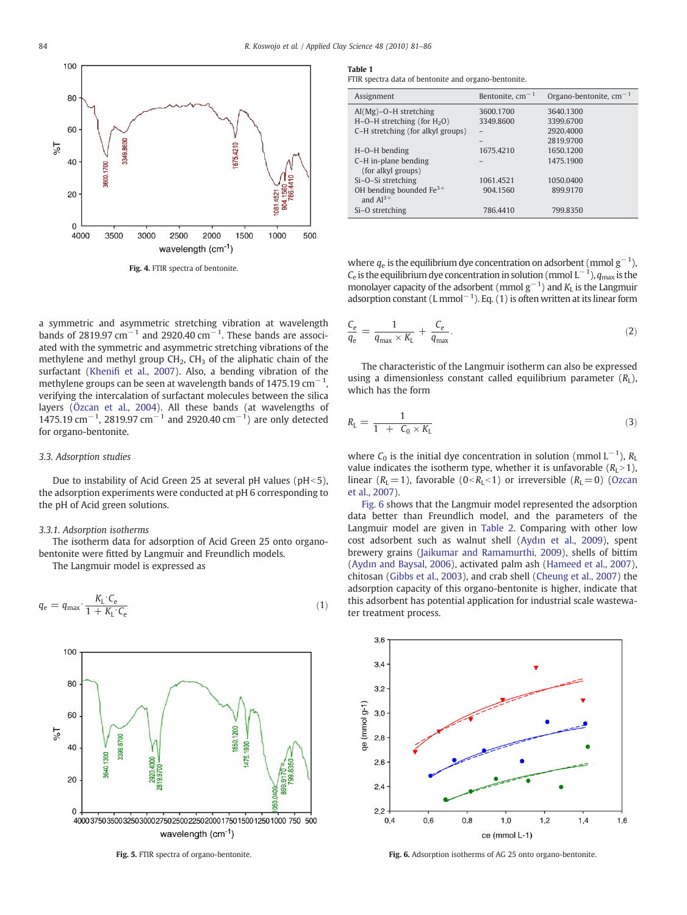<span id="page-3-0"></span>

Fig. 4. FTIR spectra of bentonite.

a symmetric and asymmetric stretching vibration at wavelength bands of 2819.97 cm<sup>-1</sup> and 2920.40 cm<sup>-1</sup>. These bands are associated with the symmetric and asymmetric stretching vibrations of the methylene and methyl group  $CH<sub>2</sub>$ ,  $CH<sub>3</sub>$  of the aliphatic chain of the surfactant (Khenifi [et al., 2007\)](#page-5-0). Also, a bending vibration of the methylene groups can be seen at wavelength bands of 1475.19 cm $^{-1}$ , verifying the intercalation of surfactant molecules between the silica layers ([Özcan et al., 2004\)](#page-5-0). All these bands (at wavelengths of 1475.19 cm<sup>-1</sup>, 2819.97 cm<sup>-1</sup> and 2920.40 cm<sup>-1</sup>) are only detected for organo-bentonite.

# 3.3. Adsorption studies

Due to instability of Acid Green 25 at several pH values ( $pH<5$ ), the adsorption experiments were conducted at pH 6 corresponding to the pH of Acid green solutions.

#### 3.3.1. Adsorption isotherms

The isotherm data for adsorption of Acid Green 25 onto organobentonite were fitted by Langmuir and Freundlich models.

The Langmuir model is expressed as

$$
q_{\rm e} = q_{\rm max} \cdot \frac{K_{\rm L} \cdot C_{\rm e}}{1 + K_{\rm L} \cdot C_{\rm e}}\tag{1}
$$



Fig. 5. FTIR spectra of organo-bentonite.

Table 1

FTIR spectra data of bentonite and organo-bentonite.

| Assignment                        | Bentonite, $cm^{-1}$ | Organo-bentonite, $cm^{-1}$ |
|-----------------------------------|----------------------|-----------------------------|
| $Al(Mg)-O-H$ stretching           | 3600.1700            | 3640.1300                   |
| $H-O-H$ stretching (for $H2O$ )   | 3349.8600            | 3399.6700                   |
| C-H stretching (for alkyl groups) |                      | 2920.4000                   |
|                                   |                      | 2819.9700                   |
| $H-O-H$ bending                   | 1675.4210            | 1650.1200                   |
| C-H in-plane bending              |                      | 1475.1900                   |
| (for alkyl groups)                |                      |                             |
| Si-O-Si stretching                | 1061.4521            | 1050.0400                   |
| OH bending bounded $Fe3+$         | 904.1560             | 899.9170                    |
| and $Al^{3+}$                     |                      |                             |
| Si-O stretching                   | 786.4410             | 799.8350                    |

where  $q_e$  is the equilibrium dye concentration on adsorbent (mmol  $g^{-1}$ ),  $C_{\rm e}$  is the equilibrium dye concentration in solution (mmol  $\rm L^{-1}$ ),  $q_{\rm max}$  is the monolayer capacity of the adsorbent (mmol  $g^{-1}$ ) and  $K<sub>L</sub>$  is the Langmuir adsorption constant (L mmol<sup>-1</sup>). Eq. (1) is often written at its linear form

$$
\frac{C_e}{q_e} = \frac{1}{q_{\text{max}} \times K_L} + \frac{C_e}{q_{\text{max}}}.
$$
\n(2)

The characteristic of the Langmuir isotherm can also be expressed using a dimensionless constant called equilibrium parameter  $(R<sub>L</sub>)$ , which has the form

$$
R_{\rm L} = \frac{1}{1 + C_0 \times K_{\rm L}}\tag{3}
$$

where  $C_0$  is the initial dye concentration in solution (mmol  $L^{-1}$ ),  $R_L$ value indicates the isotherm type, whether it is unfavorable  $(R<sub>L</sub> > 1)$ , linear ( $R_L$  = 1), favorable (0< $R_L$  < 1) or irreversible ( $R_L$  = 0) ([Ozcan](#page-5-0) [et al., 2007\)](#page-5-0).

Fig. 6 shows that the Langmuir model represented the adsorption data better than Freundlich model, and the parameters of the Langmuir model are given in [Table 2](#page-4-0). Comparing with other low cost adsorbent such as walnut shell (Aydı[n et al., 2009\)](#page-5-0), spent brewery grains ([Jaikumar and Ramamurthi, 2009](#page-5-0)), shells of bittim (Aydı[n and Baysal, 2006](#page-5-0)), activated palm ash [\(Hameed et al., 2007](#page-5-0)), chitosan [\(Gibbs et al., 2003\)](#page-5-0), and crab shell [\(Cheung et al., 2007](#page-5-0)) the adsorption capacity of this organo-bentonite is higher, indicate that this adsorbent has potential application for industrial scale wastewater treatment process.



Fig. 6. Adsorption isotherms of AG 25 onto organo-bentonite.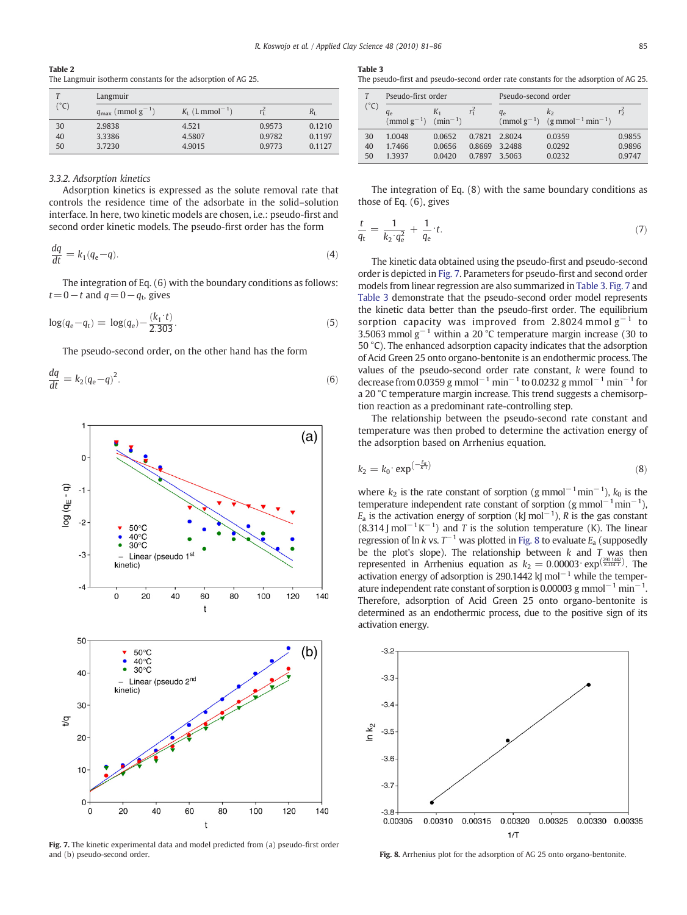<span id="page-4-0"></span>

| Table 2                                                      |  |  |  |
|--------------------------------------------------------------|--|--|--|
| The Langmuir isotherm constants for the adsorption of AG 25. |  |  |  |

| $^{\circ}$ C) | Langmuir                          |                                        |        |             |  |
|---------------|-----------------------------------|----------------------------------------|--------|-------------|--|
|               | $q_{\text{max}}$ (mmol $g^{-1}$ ) | $K_{\text{L}}$ (L mmol <sup>-1</sup> ) | rŕ     | $R_{\rm I}$ |  |
| 30            | 2.9838                            | 4.521                                  | 0.9573 | 0.1210      |  |
| 40            | 3.3386                            | 4.5807                                 | 0.9782 | 0.1197      |  |
| 50            | 3.7230                            | 4.9015                                 | 0.9773 | 0.1127      |  |

# 3.3.2. Adsorption kinetics

Adsorption kinetics is expressed as the solute removal rate that controls the residence time of the adsorbate in the solid–solution interface. In here, two kinetic models are chosen, i.e.: pseudo-first and second order kinetic models. The pseudo-first order has the form

$$
\frac{dq}{dt} = k_1(q_e - q). \tag{4}
$$

The integration of Eq. (6) with the boundary conditions as follows:  $t= 0-t$  and  $q= 0-q_t$ , gives

$$
\log(q_{\rm e} - q_{\rm t}) = \log(q_{\rm e}) - \frac{(k_1 \cdot t)}{2.303}.
$$
\n(5)

The pseudo-second order, on the other hand has the form

$$
\frac{dq}{dt} = k_2 (q_e - q)^2. \tag{6}
$$



Fig. 7. The kinetic experimental data and model predicted from (a) pseudo-first order and (b) pseudo-second order.

#### Table 3

The pseudo-first and pseudo-second order rate constants for the adsorption of AG 25.

| T<br>$(^{\circ}C)$ | Pseudo-first order       |                         |         | Pseudo-second order |                                                                                     |        |
|--------------------|--------------------------|-------------------------|---------|---------------------|-------------------------------------------------------------------------------------|--------|
|                    | $q_e$<br>$\pmod{g^{-1}}$ | $K_{1}$<br>$(min^{-1})$ | $r_1^2$ | $q_e$               | k <sub>2</sub><br>(mmol g <sup>-1</sup> ) (g mmol <sup>-1</sup> min <sup>-1</sup> ) | rź     |
| 30                 | 1.0048                   | 0.0652                  | 0.7821  | 2.8024              | 0.0359                                                                              | 0.9855 |
| 40                 | 1.7466                   | 0.0656                  | 0.8669  | 3.2488              | 0.0292                                                                              | 0.9896 |
| 50                 | 13937                    | 0.0420                  | 0.7897  | 3.5063              | 0.0232                                                                              | 0.9747 |

The integration of Eq. (8) with the same boundary conditions as those of Eq. (6), gives

$$
\frac{t}{q_t} = \frac{1}{k_2 \cdot q_e^2} + \frac{1}{q_e} \cdot t. \tag{7}
$$

The kinetic data obtained using the pseudo-first and pseudo-second order is depicted in Fig. 7. Parameters for pseudo-first and second order models from linear regression are also summarized in Table 3. Fig. 7 and Table 3 demonstrate that the pseudo-second order model represents the kinetic data better than the pseudo-first order. The equilibrium sorption capacity was improved from 2.8024 mmol  $g^{-1}$  to 3.5063 mmol  $g^{-1}$  within a 20 °C temperature margin increase (30 to 50 °C). The enhanced adsorption capacity indicates that the adsorption of Acid Green 25 onto organo-bentonite is an endothermic process. The values of the pseudo-second order rate constant, k were found to decrease from 0.0359 g mmol<sup>-1</sup> min<sup>-1</sup> to 0.0232 g mmol<sup>-1</sup> min<sup>-1</sup> for a 20 °C temperature margin increase. This trend suggests a chemisorption reaction as a predominant rate-controlling step.

The relationship between the pseudo-second rate constant and temperature was then probed to determine the activation energy of the adsorption based on Arrhenius equation.

$$
k_2 = k_0 \cdot \exp^{\left(-\frac{E_0}{KT}\right)}\tag{8}
$$

where  $k_2$  is the rate constant of sorption (g mmol<sup>-1</sup>min<sup>-1</sup>),  $k_0$  is the temperature independent rate constant of sorption  $(g \text{ mmol}^{-1} \text{min}^{-1})$ ,  $E_a$  is the activation energy of sorption (kJ mol<sup>-1</sup>), R is the gas constant  $(8.314 \text{ J mol}^{-1} \text{K}^{-1})$  and T is the solution temperature (K). The linear regression of ln k vs.  $T^{-1}$  was plotted in Fig. 8 to evaluate  $E_a$  (supposedly be the plot's slope). The relationship between  $k$  and  $T$  was then represented in Arrhenius equation as  $k_2 = 0.00003 \cdot \exp(\frac{290.1442}{8.314 \cdot T})$ . The activation energy of adsorption is 290.1442 kJ mol<sup> $-1$ </sup> while the temperature independent rate constant of sorption is 0.00003 g mmol $^{-1}$  min $^{-1}$ . Therefore, adsorption of Acid Green 25 onto organo-bentonite is determined as an endothermic process, due to the positive sign of its activation energy.



Fig. 8. Arrhenius plot for the adsorption of AG 25 onto organo-bentonite.